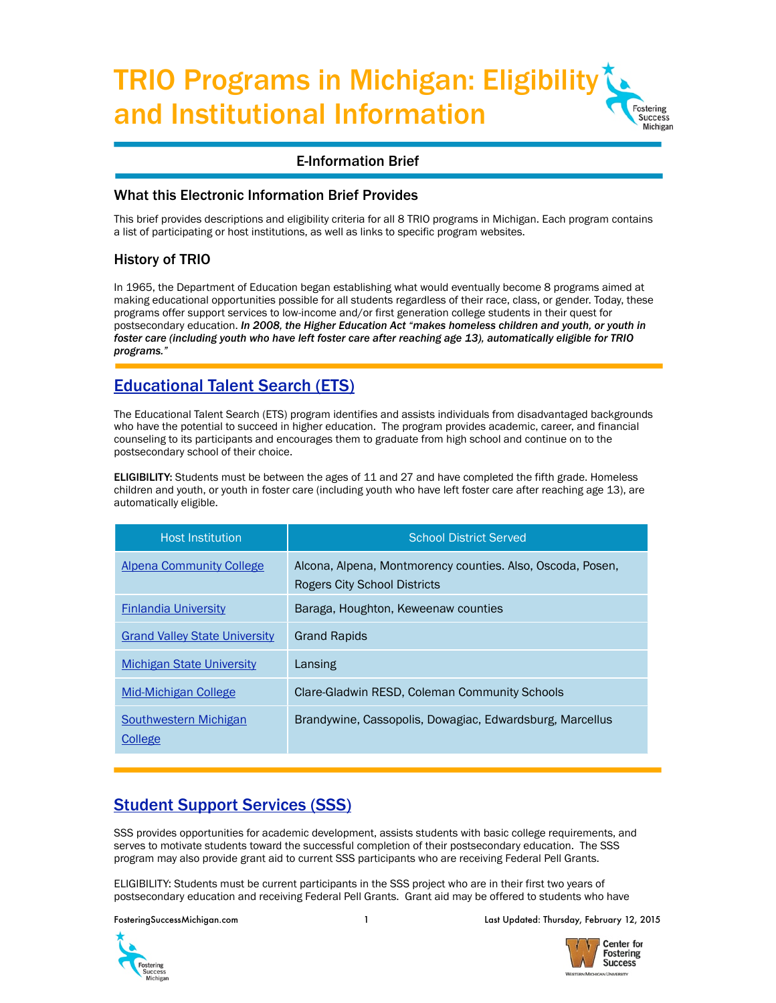#### TRIO Programs in Michigan: Eligibility and Institutional Information **Fostering** Success Michigan

### E-Information Brief

### What this Electronic Information Brief Provides

This brief provides descriptions and eligibility criteria for all 8 TRIO programs in Michigan. Each program contains a list of participating or host institutions, as well as links to specific program websites.

## History of TRIO

In 1965, the Department of Education began establishing what would eventually become 8 programs aimed at making educational opportunities possible for all students regardless of their race, class, or gender. Today, these programs offer support services to low-income and/or first generation college students in their quest for postsecondary education. *In 2008, the Higher Education Act "makes homeless children and youth, or youth in foster care (including youth who have left foster care after reaching age 13), automatically eligible for TRIO programs."*

# [Educational Talent Search \(ETS\)](http://www2.ed.gov/programs/triotalent/index.html)

The Educational Talent Search (ETS) program identifies and assists individuals from disadvantaged backgrounds who have the potential to succeed in higher education. The program provides academic, career, and financial counseling to its participants and encourages them to graduate from high school and continue on to the postsecondary school of their choice.

**ELIGIBILITY:** Students must be between the ages of 11 and 27 and have completed the fifth grade. Homeless children and youth, or youth in foster care (including youth who have left foster care after reaching age 13), are automatically eligible.

| <b>Host Institution</b>              | <b>School District Served</b>                                                              |
|--------------------------------------|--------------------------------------------------------------------------------------------|
| Alpena Community College             | Alcona, Alpena, Montmorency counties. Also, Oscoda, Posen,<br>Rogers City School Districts |
| <b>Finlandia University</b>          | Baraga, Houghton, Keweenaw counties                                                        |
| <b>Grand Valley State University</b> | <b>Grand Rapids</b>                                                                        |
| <b>Michigan State University</b>     | Lansing                                                                                    |
| Mid-Michigan College                 | Clare-Gladwin RESD, Coleman Community Schools                                              |
| Southwestern Michigan<br>College     | Brandywine, Cassopolis, Dowagiac, Edwardsburg, Marcellus                                   |

# [Student Support Services \(SSS\)](http://www2.ed.gov/programs/triostudsupp/index.html)

SSS provides opportunities for academic development, assists students with basic college requirements, and serves to motivate students toward the successful completion of their postsecondary education. The SSS program may also provide grant aid to current SSS participants who are receiving Federal Pell Grants.

ELIGIBILITY: Students must be current participants in the SSS project who are in their first two years of postsecondary education and receiving Federal Pell Grants. Grant aid may be offered to students who have



FosteringSuccessMichigan.com 1 Last Updated: Thursday, February 12, 2015

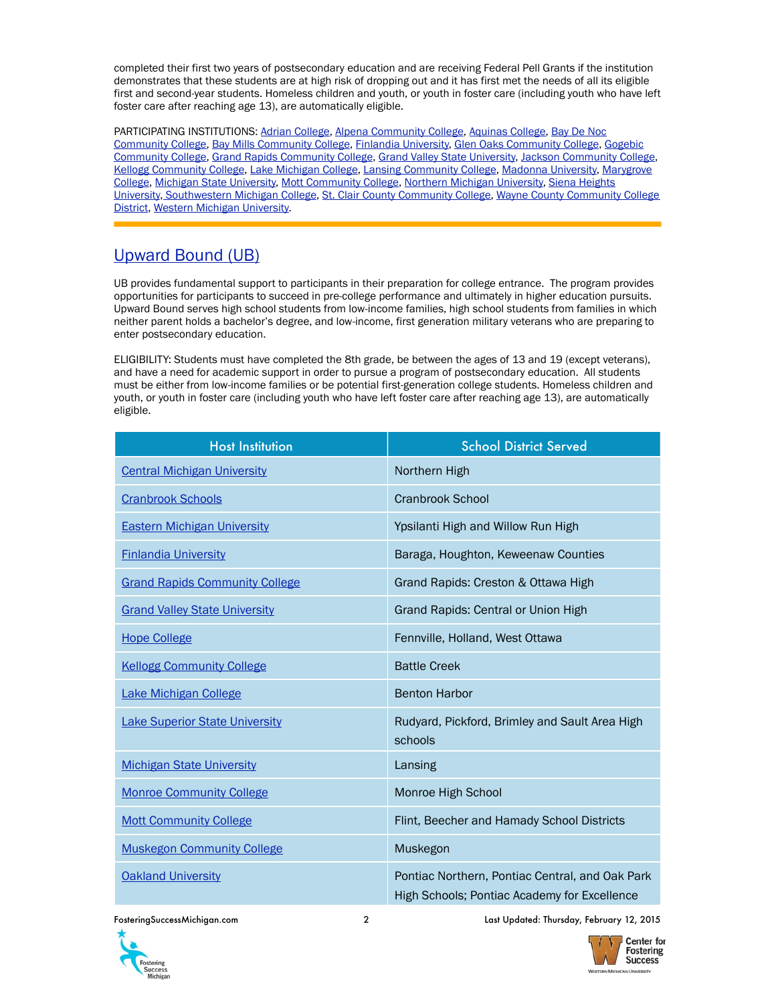completed their first two years of postsecondary education and are receiving Federal Pell Grants if the institution demonstrates that these students are at high risk of dropping out and it has first met the needs of all its eligible first and second-year students. Homeless children and youth, or youth in foster care (including youth who have left foster care after reaching age 13), are automatically eligible.

PARTICIPATING INSTITUTIONS: [Adrian College](http://adrian.edu/academics/academic-services/excel-program/), [Alpena Community College,](http://discover.alpenacc.edu/current_students/ssc_grant.php) [Aquinas College,](http://www.aquinas.edu/sss/) [Bay De Noc](https://www.baycollege.edu/Academics/Academic-Support/TRiO.aspx)  [Community College,](https://www.baycollege.edu/Academics/Academic-Support/TRiO.aspx) [Bay Mills Community College](https://www.bmcc.edu/student-services/trio/pages/default.aspx), [Finlandia University](http://www.finlandia.edu/triostudentsupportservices.html), [Glen Oaks Community College,](https://www.glenoaks.edu/currentstudents/trio_sss/Pages/default.aspx) [Gogebic](http://www.gogebic.edu/trio/)  [Community College,](http://www.gogebic.edu/trio/) [Grand Rapids Community College](http://www.grcc.edu/triostudentsupportservices), [Grand Valley State University,](http://www.gvsu.edu/esp/) [Jackson Community College](http://www.jccmi.edu/Success/TRiO/), [Kellogg Community College,](http://www.kellogg.edu/services/student-support-services/) [Lake Michigan College](http://www.lakemichigancollege.edu/sss), [Lansing Community College,](http://www.lcc.edu/trio/) [Madonna University,](https://www.madonna.edu/resources/cpi/trio) [Marygrove](http://www.marygrove.edu/current-students/student-life/student-services/student-support-services.html)  [College,](http://www.marygrove.edu/current-students/student-life/student-services/student-support-services.html) [Michigan State University,](http://trio.oss.msu.edu) [Mott Community College,](http://www.mcc.edu/learning/lc_trio.shtml) [Northern Michigan University,](http://www.nmu.edu/studentsupport/node/1) [Siena Heights](https://mysiena.sienaheights.edu/ics/Departments_and_Offices/SSS/)  [University](https://mysiena.sienaheights.edu/ics/Departments_and_Offices/SSS/), [Southwestern Michigan College,](http://www.swmich.edu/excel) [St. Clair County Community College](http://catalog.sc4.edu/content.php?catoid=1&navoid=20), [Wayne County Community College](http://www.wcccd.edu/students/pp_trio.htm)  [District,](http://www.wcccd.edu/students/pp_trio.htm) [Western Michigan University.](http://wmich.edu/ssp/index.html)

# [Upward Bound \(UB\)](http://www2.ed.gov/programs/trioupbound/index.html)

UB provides fundamental support to participants in their preparation for college entrance. The program provides opportunities for participants to succeed in pre-college performance and ultimately in higher education pursuits. Upward Bound serves high school students from low-income families, high school students from families in which neither parent holds a bachelor's degree, and low-income, first generation military veterans who are preparing to enter postsecondary education.

ELIGIBILITY: Students must have completed the 8th grade, be between the ages of 13 and 19 (except veterans), and have a need for academic support in order to pursue a program of postsecondary education. All students must be either from low-income families or be potential first-generation college students. Homeless children and youth, or youth in foster care (including youth who have left foster care after reaching age 13), are automatically eligible.

| <b>Host Institution</b>               | <b>School District Served</b>                                                                   |
|---------------------------------------|-------------------------------------------------------------------------------------------------|
| <b>Central Michigan University</b>    | Northern High                                                                                   |
| <b>Cranbrook Schools</b>              | <b>Cranbrook School</b>                                                                         |
| <b>Eastern Michigan University</b>    | Ypsilanti High and Willow Run High                                                              |
| <b>Finlandia University</b>           | Baraga, Houghton, Keweenaw Counties                                                             |
| <b>Grand Rapids Community College</b> | Grand Rapids: Creston & Ottawa High                                                             |
| <b>Grand Valley State University</b>  | Grand Rapids: Central or Union High                                                             |
| <b>Hope College</b>                   | Fennville, Holland, West Ottawa                                                                 |
| <b>Kellogg Community College</b>      | <b>Battle Creek</b>                                                                             |
| <b>Lake Michigan College</b>          | <b>Benton Harbor</b>                                                                            |
| <b>Lake Superior State University</b> | Rudyard, Pickford, Brimley and Sault Area High<br>schools                                       |
| <b>Michigan State University</b>      | Lansing                                                                                         |
| <b>Monroe Community College</b>       | Monroe High School                                                                              |
| <b>Mott Community College</b>         | Flint, Beecher and Hamady School Districts                                                      |
| <b>Muskegon Community College</b>     | Muskegon                                                                                        |
| <b>Oakland University</b>             | Pontiac Northern, Pontiac Central, and Oak Park<br>High Schools; Pontiac Academy for Excellence |



FosteringSuccessMichigan.com 2 Last Updated: Thursday, February 12, 2015

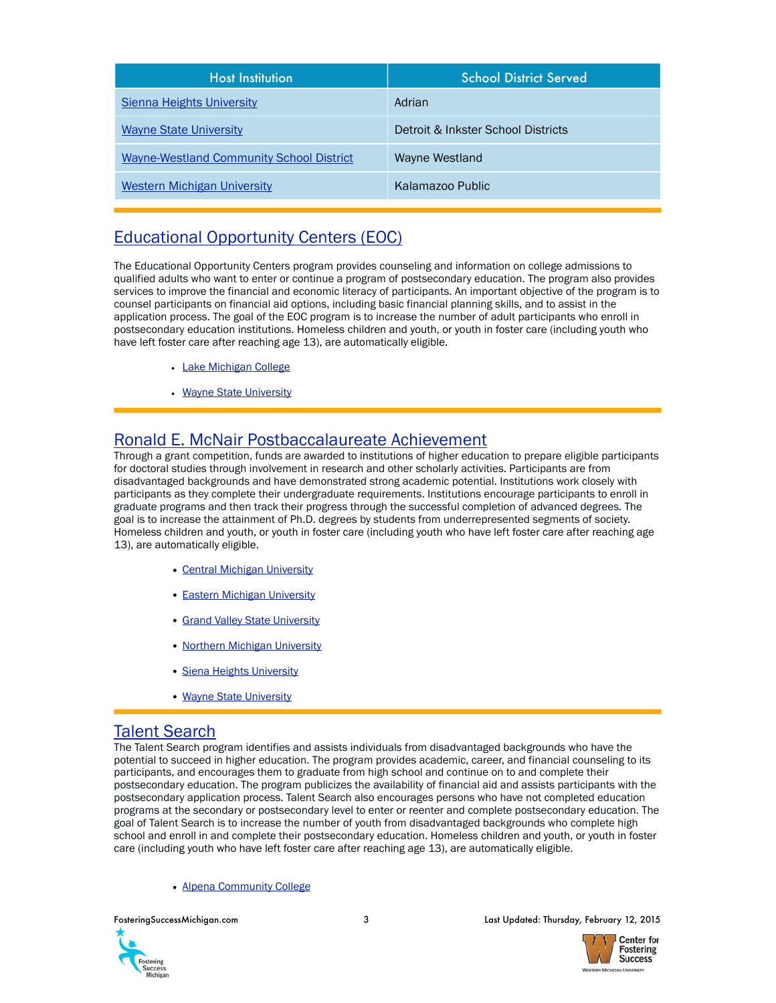| <b>Host Institution</b>                         | <b>School District Served</b>      |
|-------------------------------------------------|------------------------------------|
| <b>Sienna Heights University</b>                | Adrian                             |
| <b>Wayne State University</b>                   | Detroit & Inkster School Districts |
| <b>Wayne-Westland Community School District</b> | Wayne Westland                     |
| <b>Western Michigan University</b>              | Kalamazoo Public                   |

# [Educational Opportunity Centers \(EOC\)](http://www2.ed.gov/programs/trioeoc/index.html)

The Educational Opportunity Centers program provides counseling and information on college admissions to qualified adults who want to enter or continue a program of postsecondary education. The program also provides services to improve the financial and economic literacy of participants. An important objective of the program is to counsel participants on financial aid options, including basic financial planning skills, and to assist in the application process. The goal of the EOC program is to increase the number of adult participants who enroll in postsecondary education institutions. Homeless children and youth, or youth in foster care (including youth who have left foster care after reaching age 13), are automatically eligible.

- [Lake Michigan College](http://www.lakemichigancollege.edu/eoc)
- [Wayne State University](http://federaltrio.wayne.edu/eoc/)

# [Ronald E. McNair Postbaccalaureate Achievement](http://www2.ed.gov/programs/triomcnair/index.html)

Through a grant competition, funds are awarded to institutions of higher education to prepare eligible participants for doctoral studies through involvement in research and other scholarly activities. Participants are from disadvantaged backgrounds and have demonstrated strong academic potential. Institutions work closely with participants as they complete their undergraduate requirements. Institutions encourage participants to enroll in graduate programs and then track their progress through the successful completion of advanced degrees. The goal is to increase the attainment of Ph.D. degrees by students from underrepresented segments of society. Homeless children and youth, or youth in foster care (including youth who have left foster care after reaching age 13), are automatically eligible.

- [Central Michigan University](https://www.cmich.edu/colleges/cgs/McNairScholars/Pages/default.aspx)
- [Eastern Michigan University](http://www.emich.edu/mcnair/)
- [Grand Valley State University](http://www.gvsu.edu/mcnair/)
- [Northern Michigan University](http://www.nmu.edu/mcnairscholars/node/1)
- [Siena Heights University](http://www.sienaheights.edu/Academics/McNairScholarsProgram.aspx)
- [Wayne State University](http://federaltrio.wayne.edu/index.php)

## [Talent Search](http://www2.ed.gov/programs/triotalent/index.html)

The Talent Search program identifies and assists individuals from disadvantaged backgrounds who have the potential to succeed in higher education. The program provides academic, career, and financial counseling to its participants, and encourages them to graduate from high school and continue on to and complete their postsecondary education. The program publicizes the availability of financial aid and assists participants with the postsecondary application process. Talent Search also encourages persons who have not completed education programs at the secondary or postsecondary level to enter or reenter and complete postsecondary education. The goal of Talent Search is to increase the number of youth from disadvantaged backgrounds who complete high school and enroll in and complete their postsecondary education. Homeless children and youth, or youth in foster care (including youth who have left foster care after reaching age 13), are automatically eligible.

#### • [Alpena Community College](http://www.acctalentsearch.com)



FosteringSuccessMichigan.com 3 Last Updated: Thursday, February 12, 2015